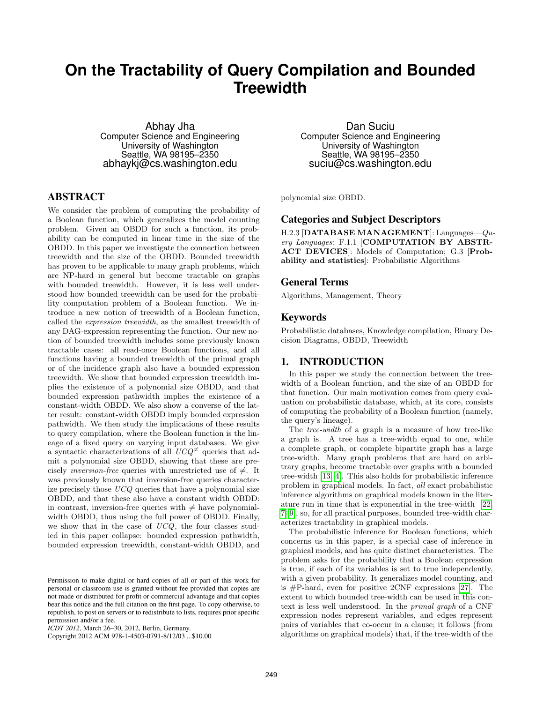# **On the Tractability of Query Compilation and Bounded Treewidth**

Abhay Jha Computer Science and Engineering University of Washington Seattle, WA 98195–2350 abhaykj@cs.washington.edu

## ABSTRACT

We consider the problem of computing the probability of a Boolean function, which generalizes the model counting problem. Given an OBDD for such a function, its probability can be computed in linear time in the size of the OBDD. In this paper we investigate the connection between treewidth and the size of the OBDD. Bounded treewidth has proven to be applicable to many graph problems, which are NP-hard in general but become tractable on graphs with bounded treewidth. However, it is less well understood how bounded treewidth can be used for the probability computation problem of a Boolean function. We introduce a new notion of treewidth of a Boolean function, called the expression treewidth, as the smallest treewidth of any DAG-expression representing the function. Our new notion of bounded treewidth includes some previously known tractable cases: all read-once Boolean functions, and all functions having a bounded treewidth of the primal graph or of the incidence graph also have a bounded expression treewidth. We show that bounded expression treewidth implies the existence of a polynomial size OBDD, and that bounded expression pathwidth implies the existence of a constant-width OBDD. We also show a converse of the latter result: constant-width OBDD imply bounded expression pathwidth. We then study the implications of these results to query compilation, where the Boolean function is the lineage of a fixed query on varying input databases. We give a syntactic characterizations of all  $UCQ^{\neq}$  queries that admit a polynomial size OBDD, showing that these are precisely *inversion-free* queries with unrestricted use of  $\neq$ . It was previously known that inversion-free queries characterize precisely those UCQ queries that have a polynomial size OBDD, and that these also have a constant width OBDD: in contrast, inversion-free queries with  $\neq$  have polynomialwidth OBDD, thus using the full power of OBDD. Finally, we show that in the case of  $UCQ$ , the four classes studied in this paper collapse: bounded expression pathwidth, bounded expression treewidth, constant-width OBDD, and

Copyright 2012 ACM 978-1-4503-0791-8/12/03 ...\$10.00

Dan Suciu Computer Science and Engineering University of Washington Seattle, WA 98195–2350 suciu@cs.washington.edu

polynomial size OBDD.

## Categories and Subject Descriptors

H.2.3 [DATABASE MANAGEMENT]: Languages—Query Languages; F.1.1 [COMPUTATION BY ABSTR-ACT DEVICES]: Models of Computation; G.3 [Probability and statistics]: Probabilistic Algorithms

#### General Terms

Algorithms, Management, Theory

#### Keywords

Probabilistic databases, Knowledge compilation, Binary Decision Diagrams, OBDD, Treewidth

#### 1. INTRODUCTION

In this paper we study the connection between the treewidth of a Boolean function, and the size of an OBDD for that function. Our main motivation comes from query evaluation on probabilistic database, which, at its core, consists of computing the probability of a Boolean function (namely, the query's lineage).

The tree-width of a graph is a measure of how tree-like a graph is. A tree has a tree-width equal to one, while a complete graph, or complete bipartite graph has a large tree-width. Many graph problems that are hard on arbitrary graphs, become tractable over graphs with a bounded tree-width [13, 4]. This also holds for probabilistic inference problem in graphical models. In fact, all exact probabilistic inference algorithms on graphical models known in the literature run in time that is exponential in the tree-width [22, 7, 9], so, for all practical purposes, bounded tree-width characterizes tractability in graphical models.

The probabilistic inference for Boolean functions, which concerns us in this paper, is a special case of inference in graphical models, and has quite distinct characteristics. The problem asks for the probability that a Boolean expression is true, if each of its variables is set to true independently, with a given probability. It generalizes model counting, and is #P-hard, even for positive 2CNF expressions [27]. The extent to which bounded tree-width can be used in this context is less well understood. In the primal graph of a CNF expression nodes represent variables, and edges represent pairs of variables that co-occur in a clause; it follows (from algorithms on graphical models) that, if the tree-width of the

Permission to make digital or hard copies of all or part of this work for personal or classroom use is granted without fee provided that copies are not made or distributed for profit or commercial advantage and that copies bear this notice and the full citation on the first page. To copy otherwise, to republish, to post on servers or to redistribute to lists, requires prior specific permission and/or a fee.

*ICDT 2012*, March 26–30, 2012, Berlin, Germany.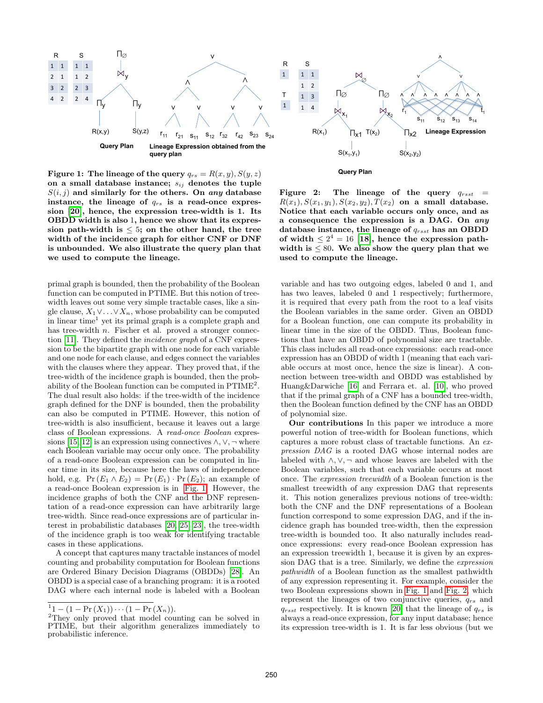

Figure 1: The lineage of the query  $q_{rs} = R(x, y), S(y, z)$ on a small database instance;  $s_{ij}$  denotes the tuple  $S(i, j)$  and similarly for the others. On any database instance, the lineage of  $q_{rs}$  is a read-once expression [20], hence, the expression tree-width is 1. Its OBDD width is also 1, hence we show that its expression path-width is  $\leq 5$ ; on the other hand, the tree width of the incidence graph for either CNF or DNF is unbounded. We also illustrate the query plan that we used to compute the lineage.

primal graph is bounded, then the probability of the Boolean function can be computed in PTIME. But this notion of treewidth leaves out some very simple tractable cases, like a single clause,  $X_1 \vee \ldots \vee X_n$ , whose probability can be computed in linear time<sup>1</sup> yet its primal graph is a complete graph and has tree-width *n*. Fischer et al. proved a stronger connection [11]. They defined the incidence graph of a CNF expression to be the bipartite graph with one node for each variable and one node for each clause, and edges connect the variables with the clauses where they appear. They proved that, if the tree-width of the incidence graph is bounded, then the probability of the Boolean function can be computed in  $PTIME<sup>2</sup>$ . The dual result also holds: if the tree-width of the incidence graph defined for the DNF is bounded, then the probability can also be computed in PTIME. However, this notion of tree-width is also insufficient, because it leaves out a large class of Boolean expressions. A read-once Boolean expressions [15, 12] is an expression using connectives  $\wedge$ ,  $\vee$ ,  $\neg$  where each Boolean variable may occur only once. The probability of a read-once Boolean expression can be computed in linear time in its size, because here the laws of independence hold, e.g.  $Pr(E_1 \wedge E_2) = Pr(E_1) \cdot Pr(E_2)$ ; an example of a read-once Boolean expression is in Fig. 1. However, the incidence graphs of both the CNF and the DNF representation of a read-once expression can have arbitrarily large tree-width. Since read-once expressions are of particular interest in probabilistic databases [20, 25, 23], the tree-width of the incidence graph is too weak for identifying tractable cases in these applications.

A concept that captures many tractable instances of model counting and probability computation for Boolean functions are Ordered Binary Decision Diagrams (OBDDs) [28]. An OBDD is a special case of a branching program: it is a rooted DAG where each internal node is labeled with a Boolean



Figure 2: The lineage of the query  $q_{rsst}$  =  $R(x_1), S(x_1, y_1), S(x_2, y_2), T(x_2)$  on a small database. Notice that each variable occurs only once, and as a consequence the expression is a DAG. On any database instance, the lineage of  $q_{rsst}$  has an OBDD of width  $\leq 2^4 = 16$  [18], hence the expression pathwidth is  $\leq 80$ . We also show the query plan that we used to compute the lineage.

variable and has two outgoing edges, labeled 0 and 1, and has two leaves, labeled 0 and 1 respectively; furthermore, it is required that every path from the root to a leaf visits the Boolean variables in the same order. Given an OBDD for a Boolean function, one can compute its probability in linear time in the size of the OBDD. Thus, Boolean functions that have an OBDD of polynomial size are tractable. This class includes all read-once expressions: each read-once expression has an OBDD of width 1 (meaning that each variable occurs at most once, hence the size is linear). A connection between tree-width and OBDD was established by Huang&Darwiche [16] and Ferrara et. al. [10], who proved that if the primal graph of a CNF has a bounded tree-width, then the Boolean function defined by the CNF has an OBDD of polynomial size.

Our contributions In this paper we introduce a more powerful notion of tree-width for Boolean functions, which captures a more robust class of tractable functions. An expression DAG is a rooted DAG whose internal nodes are labeled with  $\land$ ,  $\lor$ ,  $\neg$  and whose leaves are labeled with the Boolean variables, such that each variable occurs at most once. The expression treewidth of a Boolean function is the smallest treewidth of any expression DAG that represents it. This notion generalizes previous notions of tree-width: both the CNF and the DNF representations of a Boolean function correspond to some expression DAG, and if the incidence graph has bounded tree-width, then the expression tree-width is bounded too. It also naturally includes readonce expressions: every read-once Boolean expression has an expression treewidth 1, because it is given by an expression DAG that is a tree. Similarly, we define the expression pathwidth of a Boolean function as the smallest pathwidth of any expression representing it. For example, consider the two Boolean expressions shown in Fig. 1 and Fig. 2, which represent the lineages of two conjunctive queries,  $q_{rs}$  and  $q_{rsst}$  respectively. It is known [20] that the lineage of  $q_{rs}$  is always a read-once expression, for any input database; hence its expression tree-width is 1. It is far less obvious (but we

 $1-1-(1-\Pr(X_1))\cdots(1-\Pr(X_n)).$ 

<sup>2</sup>They only proved that model counting can be solved in PTIME, but their algorithm generalizes immediately to probabilistic inference.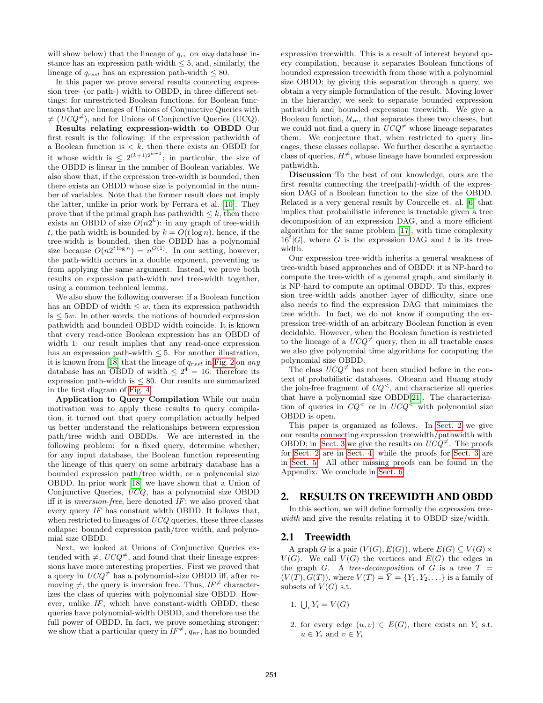will show below) that the lineage of  $q_{rs}$  on any database instance has an expression path-width  $\leq 5$ , and, similarly, the lineage of  $q_{rsst}$  has an expression path-width  $\leq 80$ .

In this paper we prove several results connecting expression tree- (or path-) width to OBDD, in three different settings: for unrestricted Boolean functions, for Boolean functions that are lineages of Unions of Conjunctive Queries with  $\neq (UCQ^{\neq})$ , and for Unions of Conjunctive Queries (UCQ).

Results relating expression-width to OBDD Our first result is the following: if the expression pathwidth of a Boolean function is  $\lt k$ , then there exists an OBDD for it whose width is  $\leq 2^{(k+1)2^{k+1}}$ ; in particular, the size of the OBDD is linear in the number of Boolean variables. We also show that, if the expression tree-width is bounded, then there exists an OBDD whose size is polynomial in the number of variables. Note that the former result does not imply the latter, unlike in prior work by Ferrara et al. [10]. They prove that if the primal graph has pathwidth  $\leq k$ , then there exists an OBDD of size  $O(n2^k)$ : in any graph of tree-width t, the path width is bounded by  $k = O(t \log n)$ , hence, if the tree-width is bounded, then the OBDD has a polynomial size because  $O(n2^{t \log n}) = n^{O(1)}$ . In our setting, however, the path-width occurs in a double exponent, preventing us from applying the same argument. Instead, we prove both results on expression path-width and tree-width together, using a common technical lemma.

We also show the following converse: if a Boolean function has an OBDD of width  $\leq w$ , then its expression pathwidth is  $\leq 5w$ . In other words, the notions of bounded expression pathwidth and bounded OBDD width coincide. It is known that every read-once Boolean expression has an OBDD of width 1: our result implies that any read-once expression has an expression path-width  $\leq 5$ . For another illustration, it is known from [18] that the lineage of  $q_{rsst}$  in Fig. 2 on any database has an OBDD of width  $\leq 2^4 = 16$ : therefore its expression path-width is  $\leq 80$ . Our results are summarized in the first diagram of Fig. 4.

Application to Query Compilation While our main motivation was to apply these results to query compilation, it turned out that query compilation actually helped us better understand the relationships between expression path/tree width and OBDDs. We are interested in the following problem: for a fixed query, determine whether, for any input database, the Boolean function representing the lineage of this query on some arbitrary database has a bounded expression path/tree width, or a polynomial size OBDD. In prior work [18] we have shown that a Union of Conjunctive Queries, UCQ, has a polynomial size OBDD iff it is *inversion-free*, here denoted  $IF$ ; we also proved that every query IF has constant width OBDD. It follows that, when restricted to lineages of UCQ queries, these three classes collapse: bounded expression path/tree width, and polynomial size OBDD.

Next, we looked at Unions of Conjunctive Queries extended with  $\neq$ ,  $UCQ^{\neq}$ , and found that their lineage expressions have more interesting properties. First we proved that a query in  $UCQ^{\neq}$  has a polynomial-size OBDD iff, after removing  $\neq$ , the query is inversion free. Thus,  $IF^{\neq}$  characterizes the class of queries with polynomial size OBDD. However, unlike  $IF$ , which have constant-width OBDD, these queries have polynomial-width OBDD, and therefore use the full power of OBDD. In fact, we prove something stronger: we show that a particular query in  $IF^{\neq}$ ,  $q_{nr}$ , has no bounded expression treewidth. This is a result of interest beyond query compilation, because it separates Boolean functions of bounded expression treewidth from those with a polynomial size OBDD: by giving this separation through a query, we obtain a very simple formulation of the result. Moving lower in the hierarchy, we seek to separate bounded expression pathwidth and bounded expression treewidth. We give a Boolean function,  $bt_m$ , that separates these two classes, but we could not find a query in  $UCQ^{\neq}$  whose lineage separates them. We conjecture that, when restricted to query lineages, these classes collapse. We further describe a syntactic class of queries,  $H^{\neq}$ , whose lineage have bounded expression pathwidth.

Discussion To the best of our knowledge, ours are the first results connecting the tree(path)-width of the expression DAG of a Boolean function to the size of the OBDD. Related is a very general result by Courcelle et. al. [6] that implies that probabilistic inference is tractable given a tree decomposition of an expression DAG, and a more efficient algorithm for the same problem [17], with time complexity  $16^t|G|$ , where G is the expression DAG and t is its treewidth.

Our expression tree-width inherits a general weakness of tree-width based approaches and of OBDD: it is NP-hard to compute the tree-width of a general graph, and similarly it is NP-hard to compute an optimal OBDD. To this, expression tree-width adds another layer of difficulty, since one also needs to find the expression DAG that minimizes the tree width. In fact, we do not know if computing the expression tree-width of an arbitrary Boolean function is even decidable. However, when the Boolean function is restricted to the lineage of a  $UCQ^{\neq}$  query, then in all tractable cases we also give polynomial time algorithms for computing the polynomial size OBDD.

The class  $UCQ^{\neq}$  has not been studied before in the context of probabilistic databases. Olteanu and Huang study the join-free fragment of  $CQ^<$ , and characterize all queries that have a polynomial size OBDD[21]. The characterization of queries in  $CQ^{\lt}$  or in  $UCQ^{\lt}$  with polynomial size OBDD is open.

This paper is organized as follows. In Sect. 2 we give our results connecting expression treewidth/pathwidth with OBDD; in Sect. 3 we give the results on  $UCQ^{\neq}$ . The proofs for Sect. 2 are in Sect. 4, while the proofs for Sect. 3 are in Sect. 5. All other missing proofs can be found in the Appendix. We conclude in Sect. 6.

## 2. RESULTS ON TREEWIDTH AND OBDD

In this section, we will define formally the expression treewidth and give the results relating it to OBDD size/width.

#### 2.1 Treewidth

A graph G is a pair  $(V(G), E(G))$ , where  $E(G) \subseteq V(G) \times$  $V(G)$ . We call  $V(G)$  the vertices and  $E(G)$  the edges in the graph G. A tree-decomposition of G is a tree  $T =$  $(V(T), G(T))$ , where  $V(T) = \overline{Y} = \{Y_1, Y_2, \ldots\}$  is a family of subsets of  $V(G)$  s.t.

- 1.  $\bigcup_i Y_i = V(G)$
- 2. for every edge  $(u, v) \in E(G)$ , there exists an  $Y_i$  s.t.  $u \in Y_i$  and  $v \in Y_i$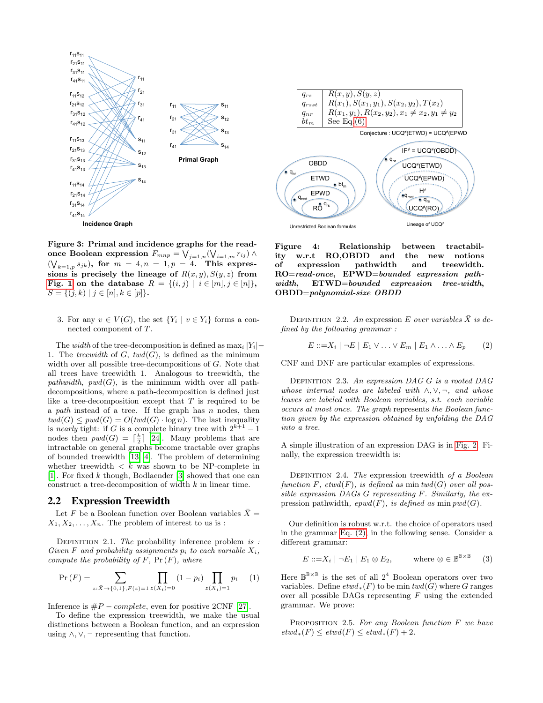

Figure 3: Primal and incidence graphs for the readonce Boolean expression  $F_{mnp} = \bigvee_{j=1,n} (\bigvee_{i=1,m} r_{ij}) \wedge$  $(\bigvee_{k=1,p} s_{jk}),$  for  $m = 4, n = 1, p = 4$ . This expressions is precisely the lineage of  $R(x, y), S(y, z)$  from **Fig. 1 on the database**  $R = \{(i, j) | i \in [m], j \in [n]\},\$  $S = \{(j,k) | j \in [n], k \in [p]\}.$ 

3. For any  $v \in V(G)$ , the set  $\{Y_i \mid v \in Y_i\}$  forms a connected component of T.

The width of the tree-decomposition is defined as  $\max_i |Y_i|$ – 1. The treewidth of  $G$ ,  $twd(G)$ , is defined as the minimum width over all possible tree-decompositions of G. Note that all trees have treewidth 1. Analogous to treewidth, the pathwidth,  $pwd(G)$ , is the minimum width over all pathdecompositions, where a path-decomposition is defined just like a tree-decomposition except that  $T$  is required to be a path instead of a tree. If the graph has  $n$  nodes, then  $twd(G) \leq pwd(G) = O(twd(G) \cdot \log n)$ . The last inequality is nearly tight: if G is a complete binary tree with  $2^{k+1} - 1$ nodes then  $pwd(G) = \lceil \frac{k}{2} \rceil$  [24]. Many problems that are intractable on general graphs become tractable over graphs of bounded treewidth [13, 4]. The problem of determining whether treewidth  $\langle k \rangle$  was shown to be NP-complete in [1]. For fixed k though, Bodlaender [3] showed that one can construct a tree-decomposition of width k in linear time.

#### 2.2 Expression Treewidth

Let F be a Boolean function over Boolean variables  $\bar{X}$  =  $X_1, X_2, \ldots, X_n$ . The problem of interest to us is :

DEFINITION 2.1. The probability inference problem is : Given F and probability assignments  $p_i$  to each variable  $X_i$ , compute the probability of  $F$ ,  $Pr(F)$ , where

$$
\Pr(F) = \sum_{z:\bar{X}\to\{0,1\}, F(z)=1} \prod_{z(X_i)=0} (1-p_i) \prod_{z(X_i)=1} p_i \quad (1)
$$

Inference is  $\#P-complete$ , even for positive 2CNF [27].

To define the expression treewidth, we make the usual distinctions between a Boolean function, and an expression using  $\land$ ,  $\lor$ ,  $\neg$  representing that function.



Figure 4: Relationship between tractability w.r.t RO,OBDD and the new notions of expression pathwidth and treewidth. RO=read-once, EPWD=bounded expression pathwidth, ETWD=bounded expression tree-width, OBDD=polynomial-size OBDD

DEFINITION 2.2. An expression E over variables  $\bar{X}$  is defined by the following grammar :

$$
E ::= X_i \mid \neg E \mid E_1 \lor \dots \lor E_m \mid E_1 \land \dots \land E_p \qquad (2)
$$

CNF and DNF are particular examples of expressions.

DEFINITION 2.3. An expression DAG G is a rooted DAG whose internal nodes are labeled with  $\land, \lor, \neg$ , and whose leaves are labeled with Boolean variables, s.t. each variable occurs at most once. The graph represents the Boolean function given by the expression obtained by unfolding the DAG into a tree.

A simple illustration of an expression DAG is in Fig. 2. Finally, the expression treewidth is:

DEFINITION 2.4. The expression treewidth of a Boolean function F, etwd(F), is defined as min twd(G) over all possible expression DAGs G representing F. Similarly, the expression pathwidth,  $epwd(F)$ , is defined as min  $pwd(G)$ .

Our definition is robust w.r.t. the choice of operators used in the grammar Eq. (2), in the following sense. Consider a different grammar:

$$
E ::= X_i \mid \neg E_1 \mid E_1 \otimes E_2, \qquad \text{where } \otimes \in \mathbb{B}^{\mathbb{B} \times \mathbb{B}} \tag{3}
$$

Here  $\mathbb{B}^{\mathbb{B}\times\mathbb{B}}$  is the set of all  $2^4$  Boolean operators over two variables. Define  $etwd_*(F)$  to be min  $twd(G)$  where G ranges over all possible DAGs representing  $F$  using the extended grammar. We prove:

PROPOSITION 2.5. For any Boolean function  $F$  we have  $etwd_*(F) \leq etwd(F) \leq etwd_*(F) + 2.$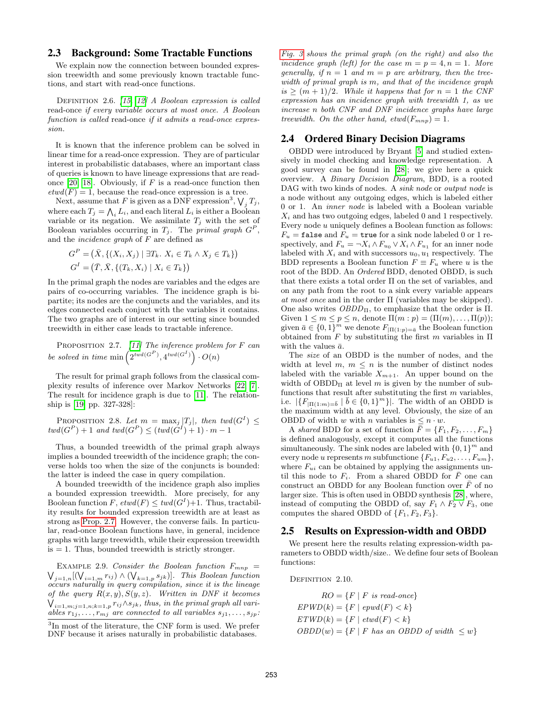## 2.3 Background: Some Tractable Functions

We explain now the connection between bounded expression treewidth and some previously known tractable functions, and start with read-once functions.

DEFINITION 2.6. [15, 12] A Boolean expression is called read-once if every variable occurs at most once. A Boolean function is called read-once if it admits a read-once expression.

It is known that the inference problem can be solved in linear time for a read-once expression. They are of particular interest in probabilistic databases, where an important class of queries is known to have lineage expressions that are readonce [20, 18]. Obviously, if  $F$  is a read-once function then  $etwd(F) = 1$ , because the read-once expression is a tree.

Next, assume that F is given as a DNF expression<sup>3</sup>,  $\bigvee_j T_j$ , where each  $T_j = \bigwedge_i L_i$ , and each literal  $L_i$  is either a Boolean variable or its negation. We assimilate  $T_j$  with the set of Boolean variables occurring in  $T_j$ . The primal graph  $G^P$ , and the *incidence graph* of  $F$  are defined as

$$
G^{P} = (\bar{X}, \{ (X_i, X_j) \mid \exists T_k. \ X_i \in T_k \land X_j \in T_k \})
$$
  

$$
G^{I} = (\bar{T}, \bar{X}, \{ (T_k, X_i) \mid X_i \in T_k \})
$$

In the primal graph the nodes are variables and the edges are pairs of co-occurring variables. The incidence graph is bipartite; its nodes are the conjuncts and the variables, and its edges connected each conjuct with the variables it contains. The two graphs are of interest in our setting since bounded treewidth in either case leads to tractable inference.

PROPOSITION 2.7.  $[11]$  The inference problem for F can be solved in time min  $(2^{twd(G^P)}, 4^{twd(G^I)}) \cdot O(n)$ 

The result for primal graph follows from the classical complexity results of inference over Markov Networks [22, 7]. The result for incidence graph is due to [11]. The relationship is [19, pp. 327-328]:

PROPOSITION 2.8. Let  $m = \max_j |T_j|$ , then twd( $G^I$ )  $\leq$  $twd(G^P) + 1$  and  $twd(G^P) \leq (twd(G^I) + 1) \cdot m - 1$ 

Thus, a bounded treewidth of the primal graph always implies a bounded treewidth of the incidence graph; the converse holds too when the size of the conjuncts is bounded: the latter is indeed the case in query compilation.

A bounded treewidth of the incidence graph also implies a bounded expression treewidth. More precisely, for any Boolean function F,  $etwd(F) \leq twd(G^I) + 1$ . Thus, tractability results for bounded expression treewidth are at least as strong as Prop. 2.7. However, the converse fails. In particular, read-once Boolean functions have, in general, incidence graphs with large treewidth, while their expression treewidth  $is = 1$ . Thus, bounded treewidth is strictly stronger.

 $\bigvee_{j=1,n}$   $[(\bigvee_{i=1,m} r_{ij}) \wedge (\bigvee_{k=1,p} s_{jk})]$ . This Boolean function EXAMPLE 2.9. Consider the Boolean function  $F_{mnp} =$ occurs naturally in query compilation, since it is the lineage of the query  $R(x, y), S(y, z)$ . Written in DNF it becomes  $\bigvee_{i=1,m;j=1,n;k=1,p} r_{ij} \wedge s_{jk},$  thus, in the primal graph all variables  $r_1, \ldots, r_m$  are connected to all variables  $s_{j1}, \ldots, s_{jp}$ : Fig. 3 shows the primal graph (on the right) and also the incidence graph (left) for the case  $m = p = 4, n = 1$ . More generally, if  $n = 1$  and  $m = p$  are arbitrary, then the treewidth of primal graph is m, and that of the incidence graph  $is > (m+1)/2$ . While it happens that for  $n = 1$  the CNF expression has an incidence graph with treewidth 1, as we increase n both CNF and DNF incidence graphs have large treewidth. On the other hand,  $etwd(F_{mnp}) = 1$ .

## 2.4 Ordered Binary Decision Diagrams

OBDD were introduced by Bryant [5] and studied extensively in model checking and knowledge representation. A good survey can be found in [28]; we give here a quick overview. A Binary Decision Diagram, BDD, is a rooted DAG with two kinds of nodes. A *sink node* or *output node* is a node without any outgoing edges, which is labeled either 0 or 1. An inner node is labeled with a Boolean variable  $X_i$  and has two outgoing edges, labeled 0 and 1 respectively. Every node  $u$  uniquely defines a Boolean function as follows:  $F_u = \texttt{false}$  and  $F_u = \texttt{true}$  for a sink node labeled 0 or 1 respectively, and  $F_u = \neg X_i \wedge F_{u_0} \vee X_i \wedge F_{u_1}$  for an inner node labeled with  $X_i$  and with successors  $u_0, u_1$  respectively. The BDD represents a Boolean function  $F \equiv F_u$  where u is the root of the BDD. An Ordered BDD, denoted OBDD, is such that there exists a total order  $\Pi$  on the set of variables, and on any path from the root to a sink every variable appears at most once and in the order  $\Pi$  (variables may be skipped). One also writes  $OBDD_{\Pi}$ , to emphasize that the order is  $\Pi$ . Given  $1 \leq m \leq p \leq n$ , denote  $\Pi(m:p) = (\Pi(m), \ldots, \Pi(p));$ given  $\bar{a} \in \{0,1\}^m$  we denote  $F_{\vert \Pi(1:p)=\bar{a}}$  the Boolean function obtained from  $F$  by substituting the first  $m$  variables in  $\Pi$ with the values  $\bar{a}$ .

The size of an OBDD is the number of nodes, and the width at level  $m, m \leq n$  is the number of distinct nodes labeled with the variable  $X_{m+1}$ . An upper bound on the width of  $OBDD_{\Pi}$  at level m is given by the number of subfunctions that result after substituting the first  $m$  variables, i.e.  $|\{F_{|\Pi(1:m)=\bar{b}} \mid \bar{b} \in \{0,1\}^m\}|$ . The width of an OBDD is the maximum width at any level. Obviously, the size of an OBDD of width w with n variables is  $\leq n \cdot w$ .

A shared BDD for a set of function  $\overline{\overline{F}} = \{F_1, F_2, \ldots, F_m\}$ is defined analogously, except it computes all the functions simultaneously. The sink nodes are labeled with  $\{0, 1\}^m$  and every node u represents m subfunctione  $\{F_{u1}, F_{u2}, \ldots, F_{um}\},$ where  $F_{ui}$  can be obtained by applying the assignments until this node to  $F_i$ . From a shared OBDD for  $\overline{F}$  one can construct an OBDD for any Boolean function over  $\bar{F}$  of no larger size. This is often used in OBDD synthesis [28], where, instead of computing the OBDD of, say  $F_1 \wedge F_2 \vee F_3$ , one computes the shared OBDD of  $\{F_1, F_2, F_3\}.$ 

#### 2.5 Results on Expression-width and OBDD

We present here the results relating expression-width parameters to OBDD width/size.. We define four sets of Boolean functions:

DEFINITION 2.10.

$$
RO = \{F \mid F \text{ is read-once}\}
$$

$$
EPWD(k) = \{F \mid epwd(F) < k\}
$$

$$
ETWD(k) = \{F \mid etwd(F) < k\}
$$

$$
OBDD(w) = \{F \mid F \text{ has an OBDD of width } \leq w\}
$$

<sup>&</sup>lt;sup>3</sup>In most of the literature, the CNF form is used. We prefer DNF because it arises naturally in probabilistic databases.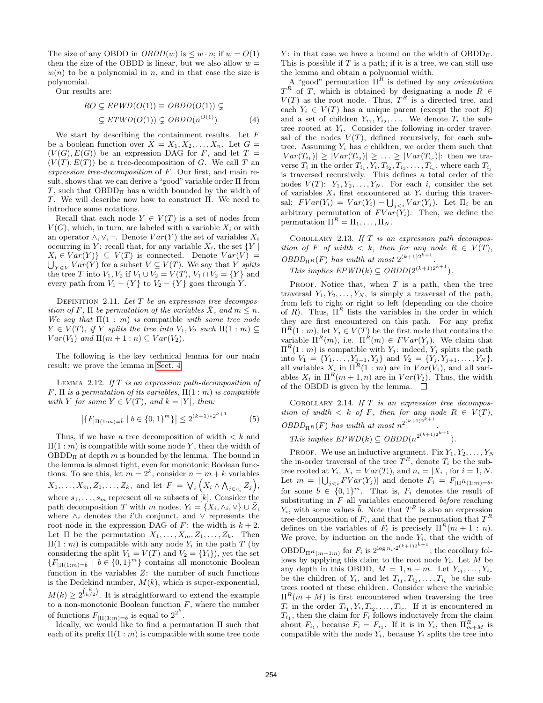The size of any OBDD in  $OBDD(w)$  is  $\leq w \cdot n$ ; if  $w = O(1)$ then the size of the OBDD is linear, but we also allow  $w =$  $w(n)$  to be a polynomial in n, and in that case the size is polynomial.

Our results are:

$$
RO \subsetneq EPWD(O(1)) \equiv OBDD(O(1)) \subsetneq
$$
  

$$
\subsetneq ETWD(O(1)) \subsetneq OBDD(n^{O(1)})
$$
 (4)

We start by describing the containment results. Let  $F$ be a boolean function over  $\bar{X} = X_1, X_2, \ldots, X_n$ . Let  $G =$  $(V(G), E(G))$  be an expression DAG for F, and let  $T =$  $(V(T), E(T))$  be a tree-decomposition of G. We call T an expression tree-decomposition of F. Our first, and main result, shows that we can derive a "good" variable order Π from T, such that  $OBDD<sub>II</sub>$  has a width bounded by the width of T. We will describe now how to construct Π. We need to introduce some notations.

Recall that each node  $Y \in V(T)$  is a set of nodes from  $V(G)$ , which, in turn, are labeled with a variable  $X_i$  or with an operator  $\wedge$ ,  $\vee$ ,  $\neg$ . Denote  $Var(Y)$  the set of variables  $X_i$ occurring in Y: recall that, for any variable  $X_i$ , the set  $\{Y \mid$  $X_i \in Var(Y)$   $\subseteq V(T)$  is connected. Denote  $Var(V)$  =  $X_i \in Var(Y) \subseteq V(T)$  is connected. Denote  $Var(V) = \bigcup_{Y \in V} Var(Y)$  for a subset  $V \subseteq V(T)$ . We say that Y splits the tree T into  $V_1, V_2$  if  $V_1 \cup V_2 = V(T), V_1 \cap V_2 = \{Y\}$  and every path from  $V_1 - \{Y\}$  to  $V_2 - \{Y\}$  goes through Y.

DEFINITION 2.11. Let  $T$  be an expression tree decomposition of F,  $\Pi$  be permutation of the variables  $\bar{X}$ , and  $m \leq n$ . We say that  $\Pi(1:m)$  is compatible with some tree node  $Y \in V(T)$ , if Y splits the tree into  $V_1, V_2$  such  $\Pi(1:m) \subseteq$  $Var(V_1)$  and  $\Pi(m+1:n) \subseteq Var(V_2)$ .

The following is the key technical lemma for our main result; we prove the lemma in Sect. 4.

LEMMA 2.12. If  $T$  is an expression path-decomposition of F,  $\Pi$  is a permutation of its variables,  $\Pi(1:m)$  is compatible with Y for some  $Y \in V(T)$ , and  $k = |Y|$ , then:

$$
\left| \{ F_{|\Pi(1:m) = \bar{b}} \mid \bar{b} \in \{0, 1\}^m \} \right| \le 2^{(k+1) \times 2^{k+1}} \tag{5}
$$

Thus, if we have a tree decomposition of width  $\langle k \rangle$  and  $\Pi(1:m)$  is compatible with some node Y, then the width of  $OBDD<sub>II</sub>$  at depth m is bounded by the lemma. The bound in the lemma is almost tight, even for monotonic Boolean functions. To see this, let  $m = 2<sup>k</sup>$ , consider  $n = m + k$  variables  $X_1, \ldots, X_m, Z_1, \ldots, Z_k$ , and let  $F = \bigvee_i \Big( X_i \wedge \bigwedge_{j \in s_i} Z_j \Big)$ , where  $s_1, \ldots, s_m$  represent all m subsets of [k]. Consider the path decomposition T with m nodes,  $Y_i = \{X_i, \wedge_i, \vee\} \cup \overline{Z}$ , where  $\wedge_i$  denotes the *i*'th conjunct, and  $\vee$  represents the root node in the expression DAG of F: the width is  $k + 2$ . Let  $\Pi$  be the permutation  $X_1, \ldots, X_m, Z_1, \ldots, Z_k$ . Then  $\Pi(1:m)$  is compatible with any node  $Y_i$  in the path T (by considering the split  $V_1 = V(T)$  and  $V_2 = \{Y_i\}$ , yet the set  ${F_{|\Pi(1:m)=\bar{b}} \mid b \in {0,1}^m}$  contains all monotonic Boolean function in the variables  $\bar{Z}$ : the number of such functions is the Dedekind number,  $M(k)$ , which is super-exponential,  $M(k) \geq 2^{k/2}$ . It is straightforward to extend the example to a non-monotonic Boolean function  $F$ , where the number of functions  $F_{\mid \Pi(1:m)=\bar{b}}$  is equal to  $2^{2^k}$ .

Ideally, we would like to find a permutation Π such that each of its prefix  $\Pi(1:m)$  is compatible with some tree node Y: in that case we have a bound on the width of  $OBDD_{\Pi}$ . This is possible if  $T$  is a path; if it is a tree, we can still use the lemma and obtain a polynomial width.

A "good" permutation  $\Pi^{\tilde{R}}$  is defined by any *orientation*  $T^R$  of T, which is obtained by designating a node  $R \in$  $V(T)$  as the root node. Thus,  $T<sup>R</sup>$  is a directed tree, and each  $Y_i \in V(T)$  has a unique parent (except the root R) and a set of children  $Y_{i_1}, Y_{i_2}, \ldots$  We denote  $T_i$  the subtree rooted at  $Y_i$ . Consider the following in-order traversal of the nodes  $V(T)$ , defined recursively, for each subtree. Assuming  $Y_i$  has c children, we order them such that  $|Var(T_{i_1})| \geq |Var(T_{i_2})| \geq ... \geq |Var(T_{i_c})|$ : then we traverse  $T_i$  in the order  $T_{i_1}, Y_i, T_{i_2}, T_{i_3}, \ldots, T_{i_c}$ , where each  $T_{i_j}$ is traversed recursively. This defines a total order of the nodes  $V(T)$ :  $Y_1, Y_2, \ldots, Y_N$ . For each i, consider the set of variables  $X_j$  first encountered at  $Y_i$  during this traversal:  $FVar(Y_i) = Var(Y_i) - \bigcup_{j. Let  $\Pi_i$  be an$ arbitrary permutation of  $FVar(Y_i)$ . Then, we define the permutation  $\Pi^R = \Pi_1, \ldots, \Pi_N$ .

COROLLARY 2.13. If  $T$  is an expression path decomposition of F of width  $\langle k, \rangle$  then for any node  $R \in V(T)$ ,  $OBDD_{\Pi^R}(F)$  has width at most  $2^{(k+1)2^{k+1}}$ .

This implies  $E P WD(k) \subseteq OBDD(2^{(k+1)2^{k+1}})$ .

PROOF. Notice that, when  $T$  is a path, then the tree traversal  $Y_1, Y_2, \ldots, Y_N$ , is simply a traversal of the path, from left to right or right to left (depending on the choice of R). Thus,  $\Pi^R$  lists the variables in the order in which they are first encountered on this path. For any prefix  $\Pi^R(1:m)$ , let  $Y_j \in V(T)$  be the first node that contains the variable  $\Pi^R(m)$ , i.e.  $\Pi^R(m) \in FVar(Y_j)$ . We claim that  $\Pi^R(1:m)$  is compatible with  $Y_j$ : indeed,  $Y_j$  splits the path into  $V_1 = \{Y_1, \ldots, Y_{j-1}, Y_j\}$  and  $V_2 = \{Y_j, Y_{j+1}, \ldots, Y_N\},\$ all variables  $X_i$  in  $\Pi^R(1:m)$  are in  $Var(V_1)$ , and all variables  $X_i$  in  $\Pi^R(m+1,n)$  are in  $Var(V_2)$ . Thus, the width of the OBDD is given by the lemma.  $\square$ 

COROLLARY 2.14. If  $T$  is an expression tree decomposition of width  $\langle k \rangle$  of F, then for any node  $R \in V(T)$ ,  $OBDD_{\Pi R}(F)$  has width at most  $n^{2^{(k+1)2^{k+1}}}$ .

This implies  $E P WD(k) \subseteq O BDD(n^{2^{(k+1)2^{k+1}}})$ .

PROOF. We use an inductive argument. Fix  $Y_1, Y_2, \ldots, Y_N$ the in-order traversal of the tree  $T^R$ , denote  $T_i$  be the subtree rooted at  $Y_i$ ,  $\bar{X}_i = Var(T_i)$ , and  $n_i = |\bar{X}_i|$ , for  $i = 1, N$ . Let  $m = |\bigcup_{j and denote  $F_i = F_{|\Pi^R(1:m)=\overline{b}},$$ for some  $\bar{b} \in \{0,1\}^m$ . That is,  $F_i$  denotes the result of substituting in  $F$  all variables encountered *before* reaching  $Y_i$ , with some values  $\bar{b}$ . Note that  $T^R$  is also an expression tree-decomposition of  $F_i$ , and that the permutation that  $T^R$ defines on the variables of  $F_i$  is precisely  $\Pi^R(m + 1 : n)$ . We prove, by induction on the node  $Y_i$ , that the width of  $\text{OBDD}_{\Pi^R(m+1:n)}$  for  $F_i$  is  $2^{\log n_i \cdot 2^{(k+1)2^{k+1}}}$ ; the corollary follows by applying this claim to the root node  $Y_i$ . Let M be any depth in this OBDD,  $M = 1, n - m$ . Let  $Y_{i_1}, \ldots, Y_{i_c}$ be the children of  $Y_i$ , and let  $T_{i_1}, T_{i_2}, \ldots, T_{i_c}$  be the subtrees rooted at these children. Consider where the variable  $\Pi^R(m+M)$  is first encountered when traversing the tree  $T_i$  in the order  $T_{i_1}, Y_i, T_{i_2}, \ldots, T_{i_c}$ . If it is encountered in  $T_{i_1}$ , then the claim for  $F_i$  follows inductively from the claim about  $F_{i_1}$ , because  $F_i = F_{i_1}$ . If it is in  $Y_i$ , then  $\prod_{m+M}^{R}$  is compatible with the node  $Y_i$ , because  $Y_i$  splits the tree into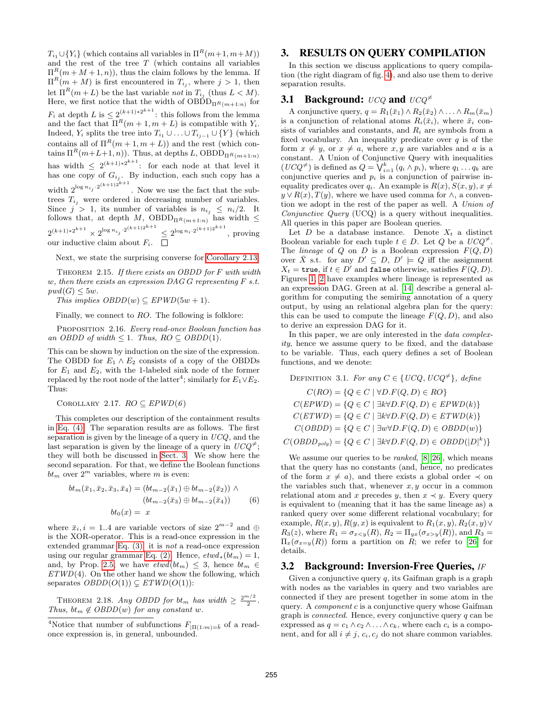$T_{i_1} \cup \{Y_i\}$  (which contains all variables in  $\Pi^R(m+1, m+M)$ ) and the rest of the tree  $T$  (which contains all variables  $\Pi^R(m+M+1,n)$ , thus the claim follows by the lemma. If  $\Pi^R(m+M)$  is first encountered in  $T_{i_j}$ , where  $j>1$ , then let  $\Pi^R(m+L)$  be the last variable not in  $T_{i_j}$  (thus  $L < M$ ). Here, we first notice that the width of  $\text{OBDD}_{\Pi^R(m+1:n)}$  for  $F_i$  at depth  $L$  is  $\leq 2^{(k+1)*2^{k+1}}$ : this follows from the lemma and the fact that  $\Pi^R(m+1, m+L)$  is compatible with  $Y_i$ . Indeed,  $Y_i$  splits the tree into  $T_{i_1} \cup \ldots \cup T_{i_{j-1}} \cup \{Y\}$  (which contains all of  $\Pi^R(m+1, m+L)$  and the rest (which contains  $\Pi^R(m+L+1, n)$ ). Thus, at depths L, OBDD $\Pi_{\Pi^R(m+1:n)}$ has width  $\leq 2^{(k+1)*2^{k+1}}$ : for each node at that level it has one copy of  $G_{i_j}$ . By induction, each such copy has a width  $2^{\log n_{i_j} \cdot 2^{(k+1)2^{k+1}}}$ . Now we use the fact that the subtrees  $T_{i_j}$  were ordered in decreasing number of variables. Since  $j > 1$ , its number of variables is  $n_{i_j} \leq n_i/2$ . It follows that, at depth  $M$ , OBDD<sub> $\Pi^R(m+1:n)$ </sub> has width  $\leq$  $2^{(k+1)*2^{k+1}} \times 2^{\log n_{i_j} \cdot 2^{(k+1)2^{k+1}}} \leq 2^{\log n_i \cdot 2^{(k+1)2^{k+1}}}$ , proving our inductive claim about  $F_i$ .  $\Box$ 

Next, we state the surprising converse for Corollary 2.13.

THEOREM 2.15. If there exists an OBDD for  $F$  with width w, then there exists an expression DAG G representing  $F$  s.t.  $pwd(G) \leq 5w$ .

This implies  $OBDD(w) \subseteq EPWD(5w+1)$ .

Finally, we connect to RO. The following is folklore:

PROPOSITION 2.16. Every read-once Boolean function has an OBDD of width  $\leq 1$ . Thus,  $RO \subseteq OBDD(1)$ .

This can be shown by induction on the size of the expression. The OBDD for  $E_1 \wedge E_2$  consists of a copy of the OBDDs for  $E_1$  and  $E_2$ , with the 1-labeled sink node of the former replaced by the root node of the latter<sup>4</sup>; similarly for  $E_1 \vee E_2$ . Thus:

COROLLARY 2.17.  $RO \subseteq EPWD(6)$ 

This completes our description of the containment results in Eq. (4). The separation results are as follows. The first separation is given by the lineage of a query in  $UCQ$ , and the last separation is given by the lineage of a query in  $UCQ^{\neq}$ ; they will both be discussed in Sect. 3. We show here the second separation. For that, we define the Boolean functions  $bt_m$  over  $2^m$  variables, where m is even:

$$
bt_m(\bar{x}_1, \bar{x}_2, \bar{x}_3, \bar{x}_4) = (bt_{m-2}(\bar{x}_1) \oplus bt_{m-2}(\bar{x}_2)) \wedge (bt_{m-2}(\bar{x}_3) \oplus bt_{m-2}(\bar{x}_4)) bt_0(x) = x
$$
 (6)

where  $\bar{x}_i, i = 1..4$  are variable vectors of size  $2^{m-2}$  and  $\oplus$ is the XOR-operator. This is a read-once expression in the extended grammar Eq. (3): it is not a read-once expression using our regular grammar Eq. (2). Hence,  $etwd_*(bt_m) = 1$ , and, by Prop. 2.5, we have  $etwd(bt_m) \leq 3$ , hence  $bt_m \in$  $ETWD(4)$ . On the other hand we show the following, which separates  $OBDD(O(1)) \subseteq ETWD(O(1))$ :

THEOREM 2.18. Any OBDD for  $bt_m$  has width  $\geq \frac{2^{m/2}}{2}$ . Thus,  $bt_m \notin OBDD(w)$  for any constant w.

## **RESULTS ON QUERY COMPILATION**

In this section we discuss applications to query compilation (the right diagram of fig. 4), and also use them to derive separation results.

#### **3.1 Background:**  $UCQ$  and  $UCQ^{\neq}$

A conjunctive query,  $q = R_1(\bar{x}_1) \wedge R_2(\bar{x}_2) \wedge \ldots \wedge R_m(\bar{x}_m)$ is a conjunction of relational atoms  $R_i(\bar{x}_i)$ , where  $\bar{x}_i$  consists of variables and constants, and  $R_i$  are symbols from a fixed vocabulary. An inequality predicate over  $q$  is of the form  $x \neq y$ , or  $x \neq a$ , where  $x, y$  are variables and a is a constant. A Union of Conjunctive Query with inequalities  $(UCQ^{\neq})$  is defined as  $Q = \bigvee_{i=1}^{k} (q_i \wedge p_i)$ , where  $q_1 \dots q_k$  are conjunctive queries and  $p_i$  is a conjunction of pairwise inequality predicates over  $q_i$ . An example is  $R(x)$ ,  $S(x, y)$ ,  $x \neq$  $y \vee R(x)$ ,  $T(y)$ , where we have used comma for  $\wedge$ , a convention we adopt in the rest of the paper as well. A Union of Conjunctive Query (UCQ) is a query without inequalities. All queries in this paper are Boolean queries.

Let  $D$  be a database instance. Denote  $X_t$  a distinct Boolean variable for each tuple  $t \in D$ . Let Q be a  $UCQ^{\neq}$ . The *lineage* of Q on D is a Boolean expression  $F(Q, D)$ over  $\bar{X}$  s.t. for any  $D' \subseteq D$ ,  $D' \models Q$  iff the assignment  $X_t = \text{true}$ , if  $t \in D'$  and false otherwise, satisfies  $F(Q, D)$ . Figures 1, 2 have examples where lineage is represented as an expression DAG. Green at al. [14] describe a general algorithm for computing the semiring annotation of a query output, by using an relational algebra plan for the query: this can be used to compute the lineage  $F(Q, D)$ , and also to derive an expression DAG for it.

In this paper, we are only interested in the *data complex*ity, hence we assume query to be fixed, and the database to be variable. Thus, each query defines a set of Boolean functions, and we denote:

DEFINITION 3.1. For any 
$$
C \in \{UCQ, UCQ^{\neq}\}\
$$
, define  
\n
$$
C(RO) = \{Q \in C \mid \forall D.F(Q, D) \in RO\}
$$
\n
$$
C(EPWD) = \{Q \in C \mid \exists k \forall D.F(Q, D) \in EPWD(k)\}
$$
\n
$$
C(ETWD) = \{Q \in C \mid \exists k \forall D.F(Q, D) \in ETWD(k)\}
$$
\n
$$
C(OBDD) = \{Q \in C \mid \exists w \forall D.F(Q, D) \in OBDD(w)\}
$$
\n
$$
C(OBDD_{poly}) = \{Q \in C \mid \exists k \forall D.F(Q, D) \in OBDD(|D|^{k})\}
$$

We assume our queries to be *ranked*,  $[8, 26]$ , which means that the query has no constants (and, hence, no predicates of the form  $x \neq a$ , and there exists a global order  $\prec$  on the variables such that, whenever  $x, y$  occur in a common relational atom and x precedes y, then  $x \prec y$ . Every query is equivalent to (meaning that it has the same lineage as) a ranked query over some different relational vocabulary; for example,  $R(x, y)$ ,  $R(y, x)$  is equivalent to  $R_1(x, y)$ ,  $R_2(x, y)$   $\vee$  $R_3(z)$ , where  $R_1 = \sigma_{x \le y}(R)$ ,  $R_2 = \Pi_{yx}(\sigma_{x>y}(R))$ , and  $R_3 =$  $\Pi_x(\sigma_{x=y}(R))$  form a partition on R; we refer to [26] for details.

#### 3.2 Background: Inversion-Free Queries, IF

Given a conjunctive query  $q$ , its Gaifman graph is a graph with nodes as the variables in query and two variables are connected if they are present together in some atom in the query. A component c is a conjunctive query whose Gaifman graph is *connected*. Hence, every conjunctive query  $q$  can be expressed as  $q = c_1 \wedge c_2 \wedge \ldots \wedge c_k$ , where each  $c_i$  is a component, and for all  $i \neq j$ ,  $c_i$ ,  $c_j$  do not share common variables.

<sup>&</sup>lt;sup>4</sup>Notice that number of subfunctions  $F_{\vert \Pi(1:m)=\bar{b}}$  of a readonce expression is, in general, unbounded.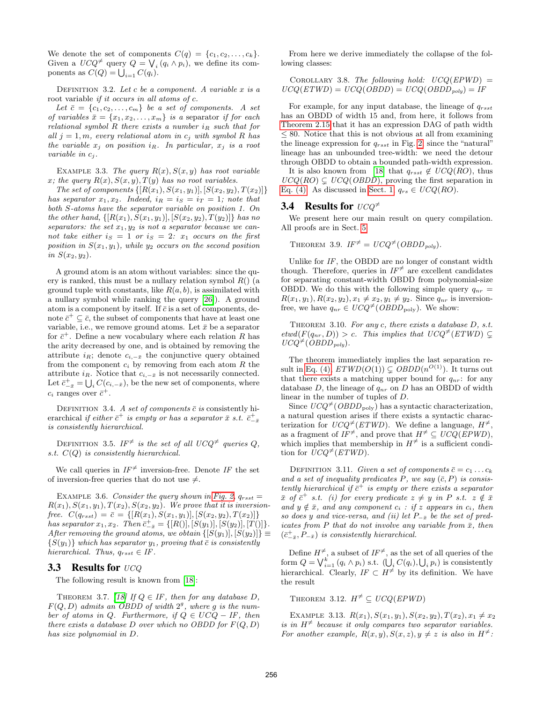We denote the set of components  $C(q) = \{c_1, c_2, \ldots, c_k\}.$ Given a  $UCQ^{\neq}$  query  $Q = \bigvee_i (q_i \wedge p_i)$ , we define its components as  $C(Q) = \bigcup_{i=1} C(q_i)$ .

DEFINITION 3.2. Let c be a component. A variable  $x$  is a root variable if it occurs in all atoms of c.

Let  $\bar{c} = \{c_1, c_2, \ldots, c_m\}$  be a set of components. A set of variables  $\bar{x} = \{x_1, x_2, \ldots, x_m\}$  is a separator if for each relational symbol  $R$  there exists a number  $i_R$  such that for all  $j = 1, m$ , every relational atom in  $c_j$  with symbol R has the variable  $x_i$  on position  $i_R$ . In particular,  $x_i$  is a root variable in  $c_i$ .

EXAMPLE 3.3. The query  $R(x)$ ,  $S(x, y)$  has root variable x; the query  $R(x)$ ,  $S(x, y)$ ,  $T(y)$  has no root variables.

The set of components  $\{[R(x_1), S(x_1, y_1)], [S(x_2, y_2), T(x_2)]\}$ has separator  $x_1, x_2$ . Indeed,  $i_R = i_S = i_T = 1$ ; note that both S-atoms have the separator variable on position 1. On the other hand,  $\{[R(x_1), S(x_1, y_1)], [S(x_2, y_2), T(y_2)]\}$  has no separators: the set  $x_1, y_2$  is not a separator because we cannot take either  $i_S = 1$  or  $i_S = 2$ :  $x_1$  occurs on the first position in  $S(x_1, y_1)$ , while  $y_2$  occurs on the second position in  $S(x_2, y_2)$ .

A ground atom is an atom without variables: since the query is ranked, this must be a nullary relation symbol  $R()$  (a ground tuple with constants, like  $R(a, b)$ , is assimilated with a nullary symbol while ranking the query [26]). A ground atom is a component by itself. If  $\bar{c}$  is a set of components, denote  $\bar{c}^+ \subseteq \bar{c}$ , the subset of components that have at least one variable, i.e., we remove ground atoms. Let  $\bar{x}$  be a separator for  $\bar{c}^+$ . Define a new vocabulary where each relation R has the arity decreased by one, and is obtained by removing the attribute  $i_R$ ; denote  $c_{i,-\bar{x}}$  the conjunctive query obtained from the component  $c_i$  by removing from each atom  $R$  the attribute  $i_R$ . Notice that  $c_{i,-\bar{x}}$  is not necessarily connected. Let  $\bar{c}_{-\bar{x}}^+ = \bigcup_i C(c_{i,-\bar{x}})$ , be the new set of components, where  $c_i$  ranges over  $\bar{c}^+$ .

DEFINITION 3.4. A set of components  $\bar{c}$  is consistently hierarchical *if either*  $\bar{c}^+$  *is empty or has a separator*  $\bar{x}$  *s.t.*  $\bar{c}^+_{-\bar{x}}$ is consistently hierarchical.

DEFINITION 3.5. IF<sup> $\neq$ </sup> is the set of all UCQ<sup> $\neq$ </sup> queries Q, s.t.  $C(Q)$  is consistently hierarchical.

We call queries in  $IF^{\neq}$  inversion-free. Denote IF the set of inversion-free queries that do not use  $\neq$ .

EXAMPLE 3.6. Consider the query shown in Fig. 2,  $q_{rsst} =$  $R(x_1), S(x_1, y_1), T(x_2), S(x_2, y_2)$ . We prove that it is inversionfree.  $C(q_{rsst}) = \bar{c} = \{[R(x_1), S(x_1, y_1)], [S(x_2, y_2), T(x_2)]\}$ has separator  $x_1, x_2$ . Then  $\bar{c}^+_{-\bar{x}} = \{[R()],[S(y_1)],[S(y_2)],[T()]\}.$ After removing the ground atoms, we obtain  $\{[S(y_1)], [S(y_2)]\} \equiv$  $\{S(y_1)\}\$  which has separator  $y_1$ , proving that  $\bar{c}$  is consistently hierarchical. Thus,  $q_{rsst} \in IF$ .

#### **3.3** Results for *UCQ*

The following result is known from [18]:

THEOREM 3.7. [18] If  $Q \in IF$ , then for any database D,  $F(Q, D)$  admits an OBDD of width  $2<sup>g</sup>$ , where g is the number of atoms in Q. Furthermore, if  $Q \in U C Q - I F$ , then there exists a database  $D$  over which no OBDD for  $F(Q, D)$ has size polynomial in D.

From here we derive immediately the collapse of the following classes:

COROLLARY 3.8. The following hold:  $UCQ(EPWD)$  =  $UCQ(ETWD) = UCQ(OBDD) = UCQ(OBDD_{poly}) = IF$ 

For example, for any input database, the lineage of  $q_{rsst}$ has an OBDD of width 15 and, from here, it follows from Theorem 2.15 that it has an expression DAG of path width  $\leq$  80. Notice that this is not obvious at all from examining the lineage expression for  $q_{rsst}$  in Fig. 2, since the "natural" lineage has an unbounded tree-width: we need the detour through OBDD to obtain a bounded path-width expression.

It is also known from [18] that  $q_{rsst} \notin UCQ(RO)$ , thus  $UCQ(RO) \subset UCQ(OBDD)$ , proving the first separation in Eq. (4). As discussed in Sect. 1,  $q_{rs} \in UCQ(RO)$ .

#### **3.4 Results for**  $UCQ^{\neq}$

We present here our main result on query compilation. All proofs are in Sect. 5.

THEOREM 3.9.  $IF^{\neq} = UCQ^{\neq}(OBDD_{poly}).$ 

Unlike for  $IF$ , the OBDD are no longer of constant width though. Therefore, queries in  $\mathit{IF}^{\neq}$  are excellent candidates for separating constant-width OBDD from polynomial-size OBDD. We do this with the following simple query  $q_{nr}$  =  $R(x_1, y_1), R(x_2, y_2), x_1 \neq x_2, y_1 \neq y_2$ . Since  $q_{nr}$  is inversionfree, we have  $q_{nr} \in UCQ^{\neq}(\overline{OBDD}_{poly})$ . We show:

THEOREM 3.10. For any  $c$ , there exists a database  $D$ , s.t.  $etwd(F(q_{nr}, D)) > c$ . This implies that  $UCQ^{\neq}(ETWD) \subseteq$  $UCQ^{\neq}(\text{OBDD}_{\text{poly}}).$ 

The theorem immediately implies the last separation result in Eq. (4),  $ETWD(O(1)) \subsetneq OBDD(n^{O(1)})$ . It turns out that there exists a matching upper bound for  $q_{nr}$ : for any database  $D$ , the lineage of  $q_{nr}$  on  $D$  has an OBDD of width linear in the number of tuples of D.

Since  $UCQ^{\neq}(\text{OBDD}_{poly})$  has a syntactic characterization, a natural question arises if there exists a syntactic characterization for  $UCQ^{\neq}(ETWD)$ . We define a language,  $H^{\neq}$ , as a fragment of  $IF^{\neq}$ , and prove that  $H^{\neq} \subseteq UCQ(EPWD)$ , which implies that membership in  $H^{\neq}$  is a sufficient condition for  $UCQ^{\neq}(ETWD)$ .

DEFINITION 3.11. Given a set of components  $\bar{c} = c_1 \dots c_k$ and a set of inequality predicates P, we say  $(\bar{c}, P)$  is consistently hierarchical if  $\bar{c}^+$  is empty or there exists a separator  $\bar{x}$  of  $\bar{c}^+$  s.t. (i) for every predicate  $z \neq y$  in P s.t.  $z \notin \bar{x}$ and  $y \notin \bar{x}$ , and any component  $c_i$  : if z appears in  $c_i$ , then so does y and vice-versa, and (ii) let  $P_{-\bar{x}}$  be the set of predicates from P that do not involve any variable from  $\bar{x}$ , then  $(\bar{c}^+_{-\bar{x}}, P_{-\bar{x}})$  is consistently hierarchical.

Define  $H^{\neq}$ , a subset of  $IF^{\neq}$ , as the set of all queries of the form  $Q = \bigvee_{i=1}^{k} (q_i \wedge p_i)$  s.t.  $(\bigcup_{i} C(q_i), \bigcup_{i} p_i)$  is consistently hierarchical. Clearly,  $IF \subset H^{\neq}$  by its definition. We have the result

THEOREM 3.12.  $H^{\neq} \subseteq UCQ(EPWD)$ 

EXAMPLE 3.13.  $R(x_1), S(x_1, y_1), S(x_2, y_2), T(x_2), x_1 \neq x_2$ is in  $H^{\neq}$  because it only compares two separator variables. For another example,  $R(x, y), S(x, z), y \neq z$  is also in  $H^{\neq}$ :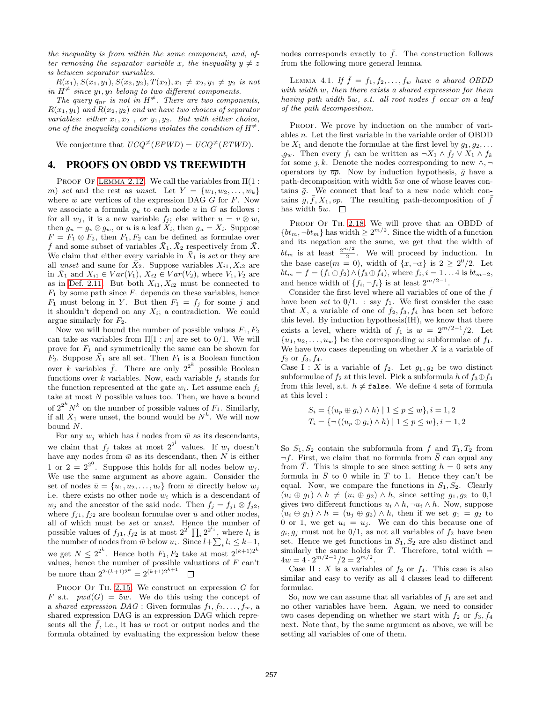the inequality is from within the same component, and, after removing the separator variable x, the inequality  $y \neq z$ is between separator variables.

 $R(x_1), S(x_1, y_1), S(x_2, y_2), T(x_2), x_1 \neq x_2, y_1 \neq y_2$  is not in  $H^{\neq}$  since  $y_1, y_2$  belong to two different components.

The query  $q_{nr}$  is not in  $H^{\neq}$ . There are two components,  $R(x_1, y_1)$  and  $R(x_2, y_2)$  and we have two choices of separator variables: either  $x_1, x_2$ , or  $y_1, y_2$ . But with either choice, one of the inequality conditions violates the condition of  $H^{\neq}$ .

We conjecture that  $UCQ^{\neq}(EPWD) = UCQ^{\neq}(ETWD)$ .

#### 4. PROOFS ON OBDD VS TREEWIDTH

PROOF OF LEMMA 2.12. We call the variables from  $\Pi(1:$ m) set and the rest as unset. Let  $Y = \{w_1, w_2, \ldots, w_k\}$ where  $\bar{w}$  are vertices of the expression DAG G for F. Now we associate a formula  $g_u$  to each node u in G as follows : for all  $w_j$ , it is a new variable  $f_j$ ; else wither  $u = v \otimes w$ , then  $g_u = g_v \otimes g_w$ , or u is a leaf  $X_i$ , then  $g_u = X_i$ . Suppose  $F = F_1 \otimes F_2$ , then  $F_1, F_2$  can be defined as formulae over  $\bar{f}$  and some subset of variables  $\bar{X}_1, \bar{X}_2$  respectively from  $\bar{X}$ . We claim that either every variable in  $\bar{X}_1$  is set or they are all unset and same for  $\bar{X}_2$ . Suppose variables  $X_{i1}, X_{i2}$  are in  $\bar{X}_1$  and  $X_{i1} \in Var(V_1)$ ,  $X_{i2} \in Var(V_2)$ , where  $V_1, V_2$  are as in Def. 2.11. But both  $X_{i1}, X_{i2}$  must be connected to  $F_1$  by some path since  $F_1$  depends on these variables, hence  $F_1$  must belong in Y. But then  $F_1 = f_j$  for some j and it shouldn't depend on any  $X_i$ ; a contradiction. We could argue similarly for  $F_2$ .

Now we will bound the number of possible values  $F_1, F_2$ can take as variables from  $\Pi[1:m]$  are set to 0/1. We will prove for  $F_1$  and symmetrically the same can be shown for  $F_2$ . Suppose  $\bar{X}_1$  are all set. Then  $F_1$  is a Boolean function over k variables  $\bar{f}$ . There are only  $2^{2^k}$  possible Boolean functions over  $k$  variables. Now, each variable  $f_i$  stands for the function represented at the gate  $w_i$ . Let assume each  $f_i$ take at most  $N$  possible values too. Then, we have a bound of  $2^{2^k} N^k$  on the number of possible values of  $F_1$ . Similarly, if all  $\bar{X}_1$  were unset, the bound would be  $N^k$ . We will now bound N.

For any  $w_i$  which has l nodes from  $\bar{w}$  as its descendants, we claim that  $f_j$  takes at most  $2^{2^l}$  values. If  $w_j$  doesn't have any nodes from  $\bar{w}$  as its descendant, then N is either 1 or  $2 = 2^{2^0}$ . Suppose this holds for all nodes below  $w_j$ . We use the same argument as above again. Consider the set of nodes  $\bar{u} = \{u_1, u_2, \ldots, u_t\}$  from  $\bar{w}$  directly below  $w_i$ i.e. there exists no other node  $w_i$  which is a descendant of  $w_j$  and the ancestor of the said node. Then  $f_j = f_{j1} \otimes f_{j2}$ , where  $f_{j1}, f_{j2}$  are boolean formulae over  $\bar{u}$  and other nodes, all of which must be set or unset. Hence the number of possible values of  $f_{j1}, f_{j2}$  is at most  $2^{2^l} \prod_i 2^{2^{l_i}}$ , where  $l_i$  is the number of nodes from  $\bar{w}$  below  $u_i$ . Since  $l+\sum_i l_i \leq k-1$ , we get  $N \leq 2^{2^k}$ . Hence both  $F_1, F_2$  take at most  $2^{(k+1)2^k}$ values, hence the number of possible valuations of  $F$  can't be more than  $2^{2 \cdot (k+1)2^k} = 2^{(k+1)2^{k+1}}$  $\Box$ 

PROOF OF TH. 2.15. We construct an expression  $G$  for F s.t.  $pwd(G) = 5w$ . We do this using the concept of a shared expression  $DAG$ : Given formulas  $f_1, f_2, \ldots, f_w$ , a shared expression DAG is an expression DAG which represents all the  $f$ , i.e., it has  $w$  root or output nodes and the formula obtained by evaluating the expression below these nodes corresponds exactly to  $\bar{f}$ . The construction follows from the following more general lemma.

LEMMA 4.1. If  $\bar{f} = f_1, f_2, \ldots, f_w$  have a shared OBDD with width w, then there exists a shared expression for them having path width 5w, s.t. all root nodes  $\bar{f}$  occur on a leaf of the path decomposition.

PROOF. We prove by induction on the number of variables n. Let the first variable in the variable order of OBDD be  $X_1$  and denote the formulae at the first level by  $g_1, g_2, \ldots$ ,  $g_w$ . Then every  $f_i$  can be written as  $\neg X_1 \land f_j \lor X_1 \land f_k$ for some j, k. Denote the nodes corresponding to new  $\wedge$ ,  $\neg$ operators by  $\overline{op}$ . Now by induction hypothesis,  $\overline{q}$  have a path-decomposition with width 5w one of whose leaves contains  $\overline{q}$ . We connect that leaf to a new node which contains  $\bar{g}, \bar{f}, X_1, \overline{\omega}$ . The resulting path-decomposition of  $\bar{f}$ has width  $5w$ .  $\Box$ 

PROOF OF TH. 2.18. We will prove that an OBDD of  $\{bt_m, \neg bt_m\}$  has width  $\geq 2^{m/2}$ . Since the width of a function and its negation are the same, we get that the width of  $bt_m$  is at least  $\frac{2^{m/2}}{2}$ . We will proceed by induction. In the base case( $m = 0$ ), width of  $\{x, \neg x\}$  is  $2 \geq 2^0/2$ . Let  $bt_m = f = (f_1 \oplus f_2) \wedge (f_3 \oplus f_4)$ , where  $f_i, i = 1...4$  is  $bt_{m-2}$ , and hence width of  $\{f_i, \neg f_i\}$  is at least  $2^{m/2-1}$ .

Consider the first level where all variables of one of the  $\bar{f}$ have been set to  $0/1$ . : say  $f_1$ . We first consider the case that X, a variable of one of  $f_2$ ,  $f_3$ ,  $f_4$  has been set before this level. By induction hypothesis(IH), we know that there exists a level, where width of  $f_1$  is  $w = 2^{m/2-1}/2$ . Let  $\{u_1, u_2, \ldots, u_w\}$  be the corresponding w subformulae of  $f_1$ . We have two cases depending on whether  $X$  is a variable of  $f_2$  or  $f_3, f_4$ .

Case I : X is a variable of  $f_2$ . Let  $q_1, q_2$  be two distinct subformulae of  $f_2$  at this level. Pick a subformula h of  $f_3 \oplus f_4$ from this level, s.t.  $h \neq \texttt{false}$ . We define 4 sets of formula at this level :

$$
S_i = \{ (u_p \oplus g_i) \land h) \mid 1 \le p \le w \}, i = 1, 2
$$
  

$$
T_i = \{ \neg ((u_p \oplus g_i) \land h) \mid 1 \le p \le w \}, i = 1, 2
$$

So  $S_1, S_2$  contain the subformula from f and  $T_1, T_2$  from  $\neg f$ . First, we claim that no formula from  $\overline{S}$  can equal any from  $\overline{T}$ . This is simple to see since setting  $h = 0$  sets any formula in  $\overline{S}$  to 0 while in  $\overline{T}$  to 1. Hence they can't be equal. Now, we compare the functions in  $S_1, S_2$ . Clearly  $(u_i \oplus g_1) \wedge h \neq (u_i \oplus g_2) \wedge h$ , since setting  $g_1, g_2$  to 0,1 gives two different functions  $u_i \wedge h$ ,  $\neg u_i \wedge h$ . Now, suppose  $(u_i \oplus g_1) \wedge h = (u_j \oplus g_2) \wedge h$ , then if we set  $g_1 = g_2$  to 0 or 1, we get  $u_i = u_j$ . We can do this because one of  $g_i, g_j$  must not be  $0/1$ , as not all variables of  $f_2$  have been set. Hence we get functions in  $S_1, S_2$  are also distinct and similarly the same holds for  $\overline{T}$ . Therefore, total width =  $4w = 4 \cdot 2^{m/2-1}/2 = 2^{m/2}.$ 

Case II : X is a variables of  $f_3$  or  $f_4$ . This case is also similar and easy to verify as all 4 classes lead to different formulae.

So, now we can assume that all variables of  $f_1$  are set and no other variables have been. Again, we need to consider two cases depending on whether we start with  $f_2$  or  $f_3, f_4$ next. Note that, by the same argument as above, we will be setting all variables of one of them.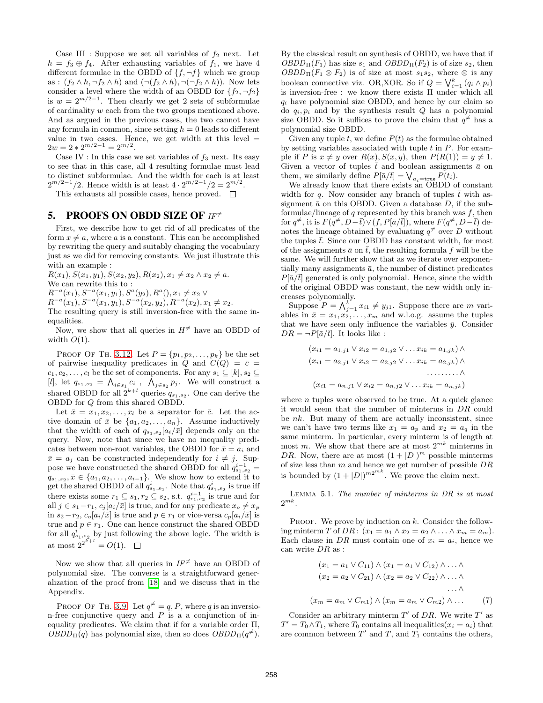Case III : Suppose we set all variables of  $f_2$  next. Let  $h = f_3 \oplus f_4$ . After exhausting variables of  $f_1$ , we have 4 different formulae in the OBDD of  $\{f, \neg f\}$  which we group as :  $(f_2 \wedge h, \neg f_2 \wedge h)$  and  $(\neg (f_2 \wedge h), \neg (\neg f_2 \wedge h))$ . Now lets consider a level where the width of an OBDD for  ${f_2, \neg f_2}$ is  $w = 2^{m/2-1}$ . Then clearly we get 2 sets of subformulae of cardinality w each from the two groups mentioned above. And as argued in the previous cases, the two cannot have any formula in common, since setting  $h = 0$  leads to different value in two cases. Hence, we get width at this level  $=$  $2w = 2 * 2^{m/2 - 1} = 2^{m/2}.$ 

Case IV : In this case we set variables of  $f_3$  next. Its easy to see that in this case, all 4 resulting formulae must lead to distinct subformulae. And the width for each is at least  $2^{m/2-1}/2$ . Hence width is at least  $4 \cdot 2^{m/2-1}/2 = 2^{m/2}$ .

This exhausts all possible cases, hence proved.  $\square$ 

## 5. PROOFS ON OBDD SIZE OF  $IF^{\neq}$

First, we describe how to get rid of all predicates of the form  $x \neq a$ , where a is a constant. This can be accomplished by rewriting the query and suitably changing the vocabulary just as we did for removing constants. We just illustrate this with an example :

 $R(x_1), S(x_1, y_1), S(x_2, y_2), R(x_2), x_1 \neq x_2 \land x_2 \neq a.$ We can rewrite this to :

 $R^{-a}(x_1), S^{-a}(x_1,y_1), S^{a}(y_2), R^{a}(x_1) \neq x_2 \vee$ 

 $R^{-a}(x_1), S^{-a}(x_1,y_1), S^{-a}(x_2,y_2), R^{-a}(x_2), x_1 \neq x_2.$ 

The resulting query is still inversion-free with the same inequalities.

Now, we show that all queries in  $H^{\neq}$  have an OBDD of width  $O(1)$ .

PROOF OF TH. 3.12. Let  $P = \{p_1, p_2, ..., p_k\}$  be the set of pairwise inequality predicates in Q and  $C(Q) = \overline{c}$  $c_1, c_2, \ldots, c_l$  be the set of components. For any  $s_1 \subseteq [k], s_2 \subseteq$ [*l*], let  $q_{s_1,s_2} = \bigwedge_{i \in s_1} c_i$ ,  $\bigwedge_{j \in s_2} p_j$ . We will construct a shared OBDD for all  $2^{k+l}$  queries  $q_{s_1,s_2}$ . One can derive the OBDD for Q from this shared OBDD.

Let  $\bar{x} = x_1, x_2, \ldots, x_l$  be a separator for  $\bar{c}$ . Let the active domain of  $\bar{x}$  be  $\{a_1, a_2, \ldots, a_n\}$ . Assume inductively that the width of each of  $q_{s_1,s_2}[a_i/\bar{x}]$  depends only on the query. Now, note that since we have no inequality predicates between non-root variables, the OBDD for  $\bar{x} = a_i$  and  $\bar{x} = a_j$  can be constructed independently for  $i \neq j$ . Suppose we have constructed the shared OBDD for all  $q_{s_1,s_2}^{i-1}$  =  $q_{s_1,s_2}, \bar{x} \in \{a_1, a_2, \ldots, a_{i-1}\}.$  We show how to extend it to get the shared OBDD of all  $q_{s_1,s_2}^i$ . Note that  $q_{s_1,s_2}^i$  is true iff there exists some  $r_1 \subseteq s_1, r_2 \subseteq s_2$ , s.t.  $q_{r_1,r_2}^{i-1}$  is true and for all  $j \in s_1-r_1$ ,  $c_j[a_i/\bar{x}]$  is true, and for any predicate  $x_o \neq x_p$ in  $s_2-r_2$ ,  $c_0[a_i/\bar{x}]$  is true and  $p \in r_1$  or vice-versa  $c_p[a_i/\bar{x}]$  is true and  $p \in r_1$ . One can hence construct the shared OBDD for all  $q_{s_1,s_2}^i$  by just following the above logic. The width is at most  $2^{2^{k+l}} = O(1)$ .

Now we show that all queries in  $IF^{\neq}$  have an OBDD of polynomial size. The converse is a straightforward generalization of the proof from [18] and we discuss that in the Appendix.

PROOF OF TH. 3.9. Let  $q^{\neq} = q, P$ , where q is an inversion-free conjunctive query and  $P$  is a a conjunction of inequality predicates. We claim that if for a variable order Π,  $OBDD_{\Pi}(q)$  has polynomial size, then so does  $OBDD_{\Pi}(q^{\neq}).$ 

By the classical result on synthesis of OBDD, we have that if  $OBDD<sub>\Pi</sub>(F<sub>1</sub>)$  has size  $s<sub>1</sub>$  and  $OBDD<sub>\Pi</sub>(F<sub>2</sub>)$  is of size  $s<sub>2</sub>$ , then  $OBDD<sub>\Pi</sub>(F<sub>1</sub> ⊗ F<sub>2</sub>)$  is of size at most  $s<sub>1</sub>s<sub>2</sub>$ , where  $\otimes$  is any boolean connective viz. OR, XOR. So if  $Q = \bigvee_{i=1}^{k} (q_i \wedge p_i)$ is inversion-free : we know there exists Π under which all  $q_i$  have polynomial size OBDD, and hence by our claim so do  $q_i, p_i$  and by the synthesis result Q has a polynomial size OBDD. So it suffices to prove the claim that  $q^{\neq}$  has a polynomial size OBDD.

Given any tuple t, we define  $P(t)$  as the formulae obtained by setting variables associated with tuple  $t$  in  $P$ . For example if P is  $x \neq y$  over  $R(x)$ ,  $S(x, y)$ , then  $P(R(1)) = y \neq 1$ . Given a vector of tuples  $\bar{t}$  and boolean assignments  $\bar{a}$  on them, we similarly define  $P[\bar{a}/\bar{t}] = \bigvee_{a_i = \text{true}} P(t_i)$ .

We already know that there exists an OBDD of constant width for q. Now consider any branch of tuples  $\bar{t}$  with assignment  $\bar{a}$  on this OBDD. Given a database D, if the subformulae/lineage of q represented by this branch was  $f$ , then for  $q^{\neq}$ , it is  $F(q^{\neq}, D-\bar{t}) \vee (f, P[\bar{a}/\bar{t}])$ , where  $F(q^{\neq}, D-\bar{t})$  denotes the lineage obtained by evaluating  $q^{\neq}$  over D without the tuples  $\bar{t}$ . Since our OBDD has constant width, for most of the assignments  $\bar{a}$  on  $\bar{t}$ , the resulting formula f will be the same. We will further show that as we iterate over exponentially many assignments  $\bar{a}$ , the number of distinct predicates  $P[\bar{a}/\bar{t}]$  generated is only polynomial. Hence, since the width of the original OBDD was constant, the new width only increases polynomially.

Suppose  $P = \bigwedge_{j=1}^k x_{i1} \neq y_{j1}$ . Suppose there are m variables in  $\bar{x} = x_1, x_2, \ldots, x_m$  and w.l.o.g. assume the tuples that we have seen only influence the variables  $\bar{y}$ . Consider  $DR = \neg P[\bar{a}/\bar{t}]$ . It looks like :

$$
(x_{i1} = a_{1,j1} \lor x_{i2} = a_{1,j2} \lor \dots x_{ik} = a_{1,jk}) \land (x_{i1} = a_{2,j1} \lor x_{i2} = a_{2,j2} \lor \dots x_{ik} = a_{2,jk}) \land \n\vdots (x_{i1} = a_{n,j1} \lor x_{i2} = a_{n,j2} \lor \dots x_{ik} = a_{n,jk})
$$

where  $n$  tuples were observed to be true. At a quick glance it would seem that the number of minterms in DR could be  $nk$ . But many of them are actually inconsistent, since we can't have two terms like  $x_1 = a_p$  and  $x_2 = a_q$  in the same minterm. In particular, every minterm is of length at most m. We show that there are at most  $2^{mk}$  minterms in DR. Now, there are at most  $(1+|D|)^m$  possible minterms of size less than  $m$  and hence we get number of possible  $DR$ is bounded by  $(1+|D|)^{m2^{mk}}$ . We prove the claim next.

Lemma 5.1. The number of minterms in DR is at most  $2^{mk}$ .

PROOF. We prove by induction on  $k$ . Consider the following minterm T of DR :  $(x_1 = a_1 \land x_2 = a_2 \land \dots \land x_m = a_m)$ . Each clause in DR must contain one of  $x_i = a_i$ , hence we can write  $DR$  as :

$$
(x_1 = a_1 \vee C_{11}) \wedge (x_1 = a_1 \vee C_{12}) \wedge \dots \wedge
$$
  
\n
$$
(x_2 = a_2 \vee C_{21}) \wedge (x_2 = a_2 \vee C_{22}) \wedge \dots \wedge
$$
  
\n
$$
\dots \wedge
$$
  
\n
$$
(x_m = a_m \vee C_{m1}) \wedge (x_m = a_m \vee C_{m2}) \wedge \dots
$$
 (7)

Consider an arbitrary minterm  $T'$  of DR. We write  $T'$  as  $T' = T_0 \wedge T_1$ , where  $T_0$  contains all inequalities( $x_i = a_i$ ) that are common between  $T'$  and  $T$ , and  $T_1$  contains the others,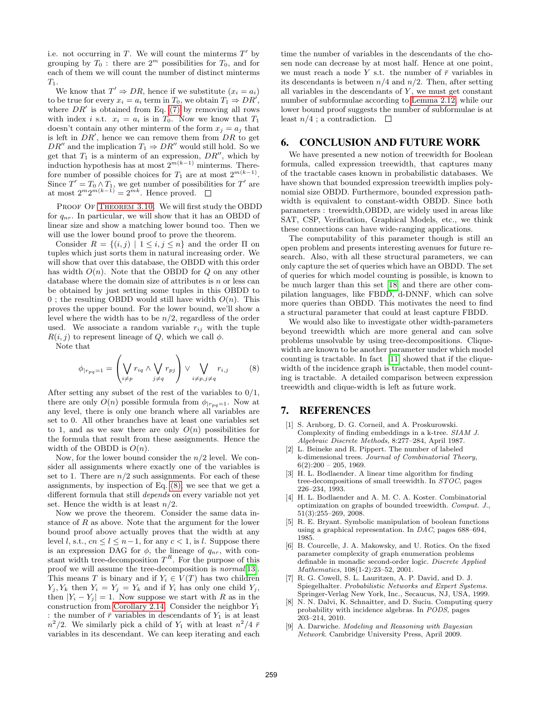i.e. not occurring in  $T$ . We will count the minterms  $T'$  by grouping by  $T_0$ : there are  $2^m$  possibilities for  $T_0$ , and for each of them we will count the number of distinct minterms  $T_1$ .

We know that  $T' \Rightarrow DR$ , hence if we substitute  $(x_i = a_i)$ to be true for every  $x_i = a_i$  term in  $T_0$ , we obtain  $T_1 \Rightarrow DR'$ , where  $DR'$  is obtained from Eq. (7) by removing all rows with index i s.t.  $x_i = a_i$  is in  $T_0$ . Now we know that  $T_1$ doesn't contain any other minterm of the form  $x_i = a_i$  that is left in  $DR'$ , hence we can remove them from  $DR$  to get  $DR''$  and the implication  $T_1 \Rightarrow DR''$  would still hold. So we get that  $T_1$  is a minterm of an expression,  $DR''$ , which by induction hypothesis has at most  $2^{m(k-1)}$  minterms. Therefore number of possible choices for  $T_1$  are at most  $2^{m(k-1)}$ . Since  $T' = T_0 \wedge T_1$ , we get number of possibilities for T' are at most  $2^m 2^{m(k-1)} = 2^{mk}$ . Hence proved.

PROOF OF THEOREM 3.10. We will first study the OBDD for  $q_{nr}$ . In particular, we will show that it has an OBDD of linear size and show a matching lower bound too. Then we will use the lower bound proof to prove the theorem.

Consider  $R = \{(i, j) | 1 \le i, j \le n\}$  and the order  $\Pi$  on tuples which just sorts them in natural increasing order. We will show that over this database, the OBDD with this order has width  $O(n)$ . Note that the OBDD for Q on any other database where the domain size of attributes is  $n$  or less can be obtained by just setting some tuples in this OBDD to 0; the resulting OBDD would still have width  $O(n)$ . This proves the upper bound. For the lower bound, we'll show a level where the width has to be  $n/2$ , regardless of the order used. We associate a random variable  $r_{ij}$  with the tuple  $R(i, j)$  to represent lineage of Q, which we call  $\phi$ .

Note that

$$
\phi_{|r_{pq}=1} = \left(\bigvee_{i \neq p} r_{iq} \wedge \bigvee_{j \neq q} r_{pj}\right) \vee \bigvee_{i \neq p, j \neq q} r_{i,j} \tag{8}
$$

After setting any subset of the rest of the variables to  $0/1$ , there are only  $O(n)$  possible formula from  $\phi_{|r_{pq}=1}$ . Now at any level, there is only one branch where all variables are set to 0. All other branches have at least one variables set to 1, and as we saw there are only  $O(n)$  possibilities for the formula that result from these assignments. Hence the width of the OBDD is  $O(n)$ .

Now, for the lower bound consider the  $n/2$  level. We consider all assignments where exactly one of the variables is set to 1. There are  $n/2$  such assignments. For each of these assignments, by inspection of Eq. (8), we see that we get a different formula that still depends on every variable not yet set. Hence the width is at least  $n/2$ .

Now we prove the theorem. Consider the same data instance of  $R$  as above. Note that the argument for the lower bound proof above actually proves that the width at any level l, s.t.,  $cn \leq l \leq n-1$ , for any  $c < 1$ , is l. Suppose there is an expression DAG for  $\phi$ , the lineage of  $q_{nr}$ , with constant width tree-decomposition  $T<sup>R</sup>$ . For the purpose of this proof we will assume the tree-decomposition is normal[13]. This means T is binary and if  $Y_i \in V(T)$  has two children  $Y_j, Y_k$  then  $Y_i = Y_j = Y_k$  and if  $Y_i$  has only one child  $Y_j$ , then  $|Y_i - Y_j| = 1$ . Now suppose we start with R as in the construction from Corollary 2.14. Consider the neighbor  $Y_1$ : the number of  $\bar{r}$  variables in descendants of  $Y_1$  is at least  $n^2/2$ . We similarly pick a child of  $Y_1$  with at least  $n^2/4 \bar{r}$ variables in its descendant. We can keep iterating and each time the number of variables in the descendants of the chosen node can decrease by at most half. Hence at one point, we must reach a node Y s.t. the number of  $\bar{r}$  variables in its descendants is between  $n/4$  and  $n/2$ . Then, after setting all variables in the descendants of  $Y$ , we must get constant number of subformulae according to Lemma 2.12, while our lower bound proof suggests the number of subformulae is at least  $n/4$ ; a contradiction.  $\Box$ 

#### 6. CONCLUSION AND FUTURE WORK

We have presented a new notion of treewidth for Boolean formula, called expression treewidth, that captures many of the tractable cases known in probabilistic databases. We have shown that bounded expression treewidth implies polynomial size OBDD. Furthermore, bounded expression pathwidth is equivalent to constant-width OBDD. Since both parameters : treewidth,OBDD, are widely used in areas like SAT, CSP, Verification, Graphical Models, etc., we think these connections can have wide-ranging applications.

The computability of this parameter though is still an open problem and presents interesting avenues for future research. Also, with all these structural parameters, we can only capture the set of queries which have an OBDD. The set of queries for which model counting is possible, is known to be much larger than this set [18] and there are other compilation languages, like FBDD, d-DNNF, which can solve more queries than OBDD. This motivates the need to find a structural parameter that could at least capture FBDD.

We would also like to investigate other width-parameters beyond treewidth which are more general and can solve problems unsolvable by using tree-decompositions. Cliquewidth are known to be another parameter under which model counting is tractable. In fact [11] showed that if the cliquewidth of the incidence graph is tractable, then model counting is tractable. A detailed comparison between expression treewidth and clique-width is left as future work.

## 7. REFERENCES

- [1] S. Arnborg, D. G. Corneil, and A. Proskurowski. Complexity of finding embeddings in a k-tree. SIAM J. Algebraic Discrete Methods, 8:277–284, April 1987.
- [2] L. Beineke and R. Pippert. The number of labeled k-dimensional trees. Journal of Combinatorial Theory,  $6(2):200 - 205, 1969.$
- [3] H. L. Bodlaender. A linear time algorithm for finding tree-decompositions of small treewidth. In STOC, pages 226–234, 1993.
- [4] H. L. Bodlaender and A. M. C. A. Koster. Combinatorial optimization on graphs of bounded treewidth. Comput. J., 51(3):255–269, 2008.
- [5] R. E. Bryant. Symbolic manipulation of boolean functions using a graphical representation. In DAC, pages 688–694, 1985.
- [6] B. Courcelle, J. A. Makowsky, and U. Rotics. On the fixed parameter complexity of graph enumeration problems definable in monadic second-order logic. Discrete Applied Mathematics, 108(1-2):23–52, 2001.
- [7] R. G. Cowell, S. L. Lauritzen, A. P. David, and D. J. Spiegelhalter. Probabilistic Networks and Expert Systems. Springer-Verlag New York, Inc., Secaucus, NJ, USA, 1999.
- [8] N. N. Dalvi, K. Schnaitter, and D. Suciu. Computing query probability with incidence algebras. In PODS, pages 203–214, 2010.
- [9] A. Darwiche. Modeling and Reasoning with Bayesian Network. Cambridge University Press, April 2009.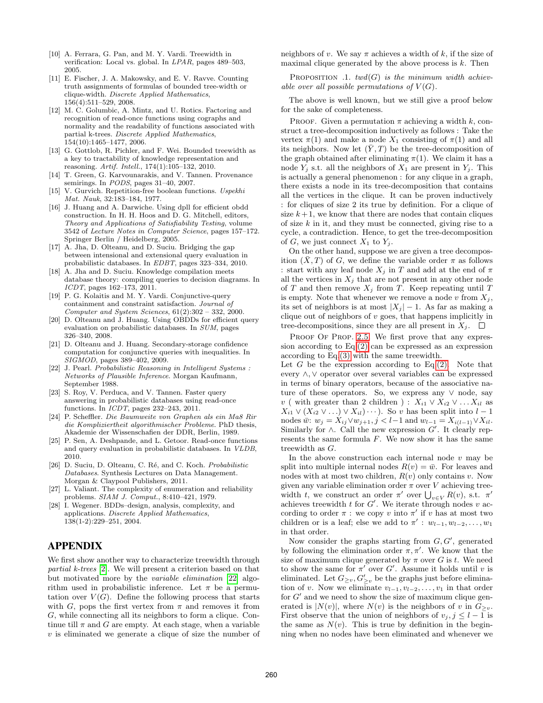- [10] A. Ferrara, G. Pan, and M. Y. Vardi. Treewidth in verification: Local vs. global. In LPAR, pages 489–503, 2005.
- [11] E. Fischer, J. A. Makowsky, and E. V. Ravve. Counting truth assignments of formulas of bounded tree-width or clique-width. Discrete Applied Mathematics, 156(4):511–529, 2008.
- [12] M. C. Golumbic, A. Mintz, and U. Rotics. Factoring and recognition of read-once functions using cographs and normality and the readability of functions associated with partial k-trees. Discrete Applied Mathematics, 154(10):1465–1477, 2006.
- [13] G. Gottlob, R. Pichler, and F. Wei. Bounded treewidth as a key to tractability of knowledge representation and reasoning. Artif. Intell., 174(1):105–132, 2010.
- [14] T. Green, G. Karvounarakis, and V. Tannen. Provenance semirings. In PODS, pages 31–40, 2007.
- V. Gurvich. Repetition-free boolean functions. Uspekhi Mat. Nauk, 32:183–184, 1977.
- [16] J. Huang and A. Darwiche. Using dpll for efficient obdd construction. In H. H. Hoos and D. G. Mitchell, editors, Theory and Applications of Satisfiability Testing, volume 3542 of Lecture Notes in Computer Science, pages 157–172. Springer Berlin / Heidelberg, 2005.
- [17] A. Jha, D. Olteanu, and D. Suciu. Bridging the gap between intensional and extensional query evaluation in probabilistic databases. In EDBT, pages 323–334, 2010.
- [18] A. Jha and D. Suciu. Knowledge compilation meets database theory: compiling queries to decision diagrams. In ICDT, pages 162–173, 2011.
- [19] P. G. Kolaitis and M. Y. Vardi. Conjunctive-query containment and constraint satisfaction. Journal of Computer and System Sciences,  $61(2):302 - 332$ , 2000.
- [20] D. Olteanu and J. Huang. Using OBDDs for efficient query evaluation on probabilistic databases. In SUM, pages 326–340, 2008.
- [21] D. Olteanu and J. Huang. Secondary-storage confidence computation for conjunctive queries with inequalities. In SIGMOD, pages 389–402, 2009.
- [22] J. Pearl. Probabilistic Reasoning in Intelligent Systems : Networks of Plausible Inference. Morgan Kaufmann, September 1988.
- [23] S. Roy, V. Perduca, and V. Tannen. Faster query answering in probabilistic databases using read-once functions. In ICDT, pages 232–243, 2011.
- [24] P. Scheffler. Die Baumweite von Graphen als ein Ma8 Rir die Kompliziertheit algorithmischer Probleme. PhD thesis, Akademie der Wissenschafien der DDR, Berlin, 1989.
- [25] P. Sen, A. Deshpande, and L. Getoor. Read-once functions and query evaluation in probabilistic databases. In VLDB, 2010.
- [26] D. Suciu, D. Olteanu, C. Ré, and C. Koch. Probabilistic Databases. Synthesis Lectures on Data Management. Morgan & Claypool Publishers, 2011.
- [27] L. Valiant. The complexity of enumeration and reliability problems. SIAM J. Comput., 8:410–421, 1979.
- [28] I. Wegener. BDDs–design, analysis, complexity, and applications. Discrete Applied Mathematics, 138(1-2):229–251, 2004.

# APPENDIX

We first show another way to characterize treewidth through partial k-trees [2]. We will present a criterion based on that but motivated more by the variable elimination [22] algorithm used in probabilistic inference. Let  $\pi$  be a permutation over  $V(G)$ . Define the following process that starts with G, pops the first vertex from  $\pi$  and removes it from G, while connecting all its neighbors to form a clique. Continue till  $\pi$  and  $G$  are empty. At each stage, when a variable  $v$  is eliminated we generate a clique of size the number of neighbors of v. We say  $\pi$  achieves a width of k, if the size of maximal clique generated by the above process is  $k$ . Then

PROPOSITION .1.  $twd(G)$  is the minimum width achievable over all possible permutations of  $V(G)$ .

The above is well known, but we still give a proof below for the sake of completeness.

PROOF. Given a permutation  $\pi$  achieving a width k, construct a tree-decomposition inductively as follows : Take the vertex  $\pi(1)$  and make a node  $X_1$  consisting of  $\pi(1)$  and all its neighbors. Now let  $(\bar{Y}, T)$  be the tree-decomposition of the graph obtained after eliminating  $\pi(1)$ . We claim it has a node  $Y_j$  s.t. all the neighbors of  $X_1$  are present in  $Y_j$ . This is actually a general phenomenon : for any clique in a graph, there exists a node in its tree-decomposition that contains all the vertices in the clique. It can be proven inductively : for cliques of size 2 its true by definition. For a clique of size  $k+1$ , we know that there are nodes that contain cliques of size  $k$  in it, and they must be connected, giving rise to a cycle, a contradiction. Hence, to get the tree-decomposition of G, we just connect  $X_1$  to  $Y_i$ .

On the other hand, suppose we are given a tree decomposition  $(\bar{X}, T)$  of G, we define the variable order  $\pi$  as follows : start with any leaf node  $X_j$  in T and add at the end of  $\pi$ all the vertices in  $X_i$  that are not present in any other node of T and then remove  $X_j$  from T. Keep repeating until T is empty. Note that whenever we remove a node v from  $X_i$ , its set of neighbors is at most  $|X_j| - 1$ . As far as making a clique out of neighbors of  $v$  goes, that happens implicitly in tree-decompositions, since they are all present in  $X_i$ .  $\Box$ 

PROOF OF PROP. 2.5. We first prove that any expression according to Eq.(2) can be expressed as an expression according to Eq.(3) with the same treewidth.

Let  $G$  be the expression according to Eq.(2). Note that every ∧, ∨ operator over several variables can be expressed in terms of binary operators, because of the associative nature of these operators. So, we express any ∨ node, say v ( with greater than 2 children ) :  $X_{i1} \vee X_{i2} \vee \ldots X_{i1}$  as  $X_{i1} \vee (X_{i2} \vee \ldots) \vee X_{i1}) \cdots$ ). So v has been split into  $l-1$ nodes  $\bar{w}: w_j = X_{ij} \vee w_{j+1}, j < l-1$  and  $w_{l-1} = X_{i(l-1)} \vee X_{il}$ . Similarly for  $\wedge$ . Call the new expression G'. It clearly represents the same formula  $F$ . We now show it has the same treewidth as G.

In the above construction each internal node  $v$  may be split into multiple internal nodes  $R(v) = \bar{w}$ . For leaves and nodes with at most two children,  $R(v)$  only contains v. Now given any variable elimination order  $\pi$  over V achieving treewidth t, we construct an order  $\pi'$  over  $\bigcup_{v \in V} R(v)$ , s.t.  $\pi'$ achieves treewidth  $t$  for  $G'$ . We iterate through nodes  $v$  according to order  $\pi$ : we copy v into  $\pi'$  if v has at most two children or is a leaf; else we add to  $\pi'$ :  $w_{l-1}, w_{l-2}, \ldots, w_1$ in that order.

Now consider the graphs starting from  $G, G'$ , generated by following the elimination order  $\pi, \pi'$ . We know that the size of maximum clique generated by  $\pi$  over G is t. We need to show the same for  $\pi'$  over  $G'$ . Assume it holds until v is eliminated. Let  $G_{\geq v}, G'_{\geq v}$  be the graphs just before elimination of v. Now we eliminate  $v_{l-1}, v_{l-2}, \ldots, v_1$  in that order for  $G'$  and we need to show the size of maximum clique generated is  $|N(v)|$ , where  $N(v)$  is the neighbors of v in  $G_{\geq v}$ . First observe that the union of neighbors of  $v_j, j \leq l-1$  is the same as  $N(v)$ . This is true by definition in the beginning when no nodes have been eliminated and whenever we